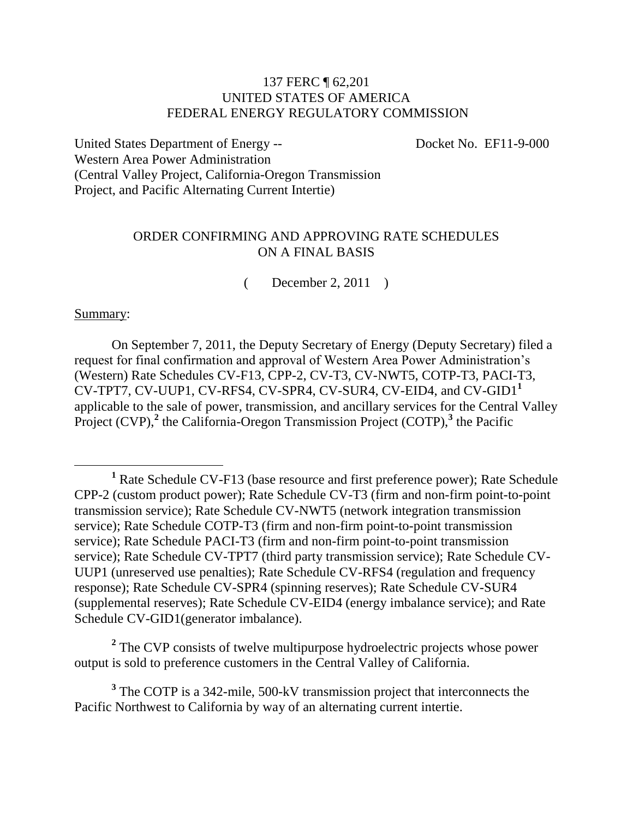### 137 FERC ¶ 62,201 UNITED STATES OF AMERICA FEDERAL ENERGY REGULATORY COMMISSION

United States Department of Energy --<br>
Docket No. EF11-9-000 Western Area Power Administration (Central Valley Project, California-Oregon Transmission Project, and Pacific Alternating Current Intertie)

### ORDER CONFIRMING AND APPROVING RATE SCHEDULES ON A FINAL BASIS

( December 2, 2011 )

### Summary:

 $\overline{a}$ 

On September 7, 2011, the Deputy Secretary of Energy (Deputy Secretary) filed a request for final confirmation and approval of Western Area Power Administration's (Western) Rate Schedules CV-F13, CPP-2, CV-T3, CV-NWT5, COTP-T3, PACI-T3, CV-TPT7, CV-UUP1, CV-RFS4, CV-SPR4, CV-SUR4, CV-EID4, and CV-GID1**<sup>1</sup>** applicable to the sale of power, transmission, and ancillary services for the Central Valley Project (CVP),<sup>2</sup> the California-Oregon Transmission Project (COTP),<sup>3</sup> the Pacific

<sup>2</sup> The CVP consists of twelve multipurpose hydroelectric projects whose power output is sold to preference customers in the Central Valley of California.

<sup>3</sup> The COTP is a 342-mile, 500-kV transmission project that interconnects the Pacific Northwest to California by way of an alternating current intertie.

**<sup>1</sup>** Rate Schedule CV-F13 (base resource and first preference power); Rate Schedule CPP-2 (custom product power); Rate Schedule CV-T3 (firm and non-firm point-to-point transmission service); Rate Schedule CV-NWT5 (network integration transmission service); Rate Schedule COTP-T3 (firm and non-firm point-to-point transmission service); Rate Schedule PACI-T3 (firm and non-firm point-to-point transmission service); Rate Schedule CV-TPT7 (third party transmission service); Rate Schedule CV-UUP1 (unreserved use penalties); Rate Schedule CV-RFS4 (regulation and frequency response); Rate Schedule CV-SPR4 (spinning reserves); Rate Schedule CV-SUR4 (supplemental reserves); Rate Schedule CV-EID4 (energy imbalance service); and Rate Schedule CV-GID1(generator imbalance).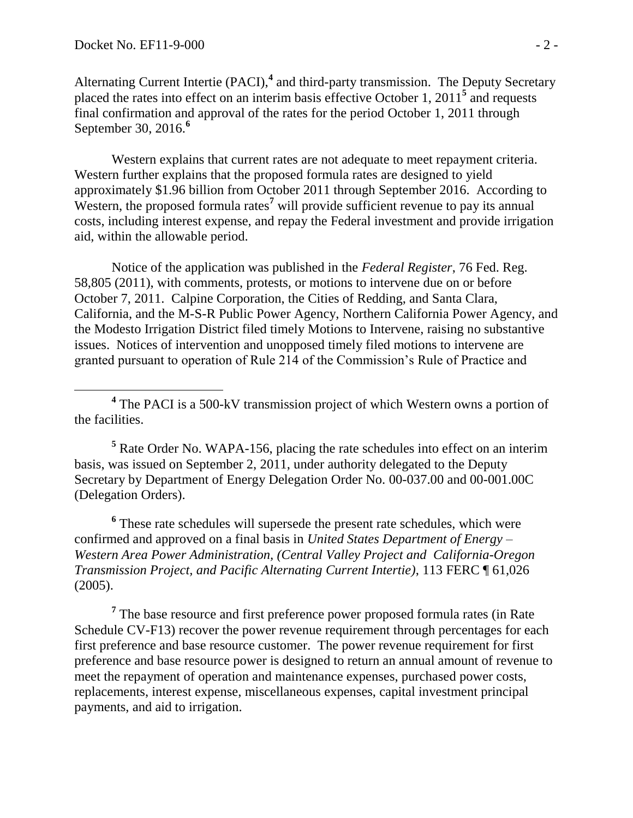Alternating Current Intertie (PACI),<sup>4</sup> and third-party transmission. The Deputy Secretary placed the rates into effect on an interim basis effective October 1, 2011**<sup>5</sup>** and requests final confirmation and approval of the rates for the period October 1, 2011 through September 30, 2016.**<sup>6</sup>**

Western explains that current rates are not adequate to meet repayment criteria. Western further explains that the proposed formula rates are designed to yield approximately \$1.96 billion from October 2011 through September 2016. According to Western, the proposed formula rates<sup>7</sup> will provide sufficient revenue to pay its annual costs, including interest expense, and repay the Federal investment and provide irrigation aid, within the allowable period.

Notice of the application was published in the *Federal Register*, 76 Fed. Reg. 58,805 (2011), with comments, protests, or motions to intervene due on or before October 7, 2011. Calpine Corporation, the Cities of Redding, and Santa Clara, California, and the M-S-R Public Power Agency, Northern California Power Agency, and the Modesto Irrigation District filed timely Motions to Intervene, raising no substantive issues. Notices of intervention and unopposed timely filed motions to intervene are granted pursuant to operation of Rule 214 of the Commission's Rule of Practice and

<sup>4</sup> The PACI is a 500-kV transmission project of which Western owns a portion of the facilities.

**<sup>5</sup>** Rate Order No. WAPA-156, placing the rate schedules into effect on an interim basis, was issued on September 2, 2011, under authority delegated to the Deputy Secretary by Department of Energy Delegation Order No. 00-037.00 and 00-001.00C (Delegation Orders).

**6** These rate schedules will supersede the present rate schedules, which were confirmed and approved on a final basis in *United States Department of Energy – Western Area Power Administration, (Central Valley Project and California-Oregon Transmission Project, and Pacific Alternating Current Intertie)*, 113 FERC ¶ 61,026 (2005).

<sup>7</sup> The base resource and first preference power proposed formula rates (in Rate) Schedule CV-F13) recover the power revenue requirement through percentages for each first preference and base resource customer. The power revenue requirement for first preference and base resource power is designed to return an annual amount of revenue to meet the repayment of operation and maintenance expenses, purchased power costs, replacements, interest expense, miscellaneous expenses, capital investment principal payments, and aid to irrigation.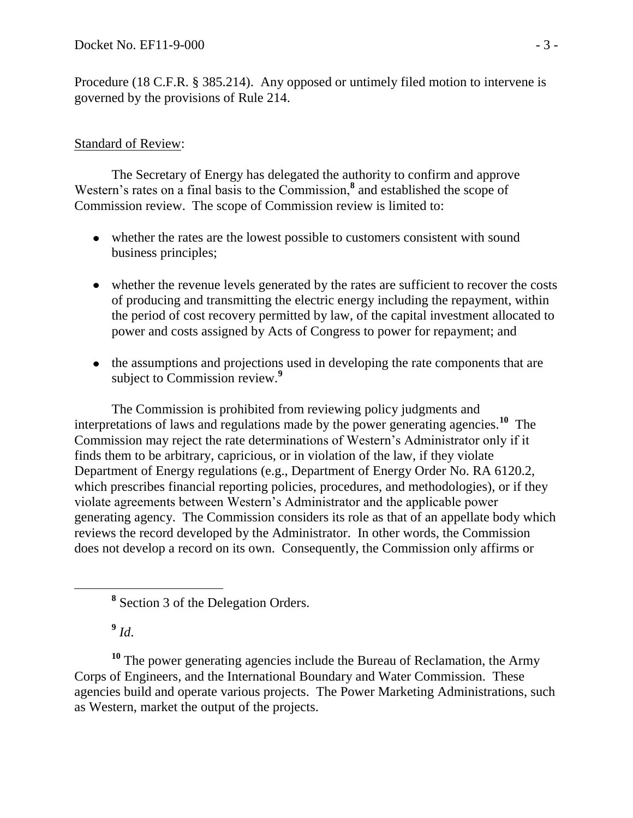Procedure (18 C.F.R. § 385.214). Any opposed or untimely filed motion to intervene is governed by the provisions of Rule 214.

# Standard of Review:

The Secretary of Energy has delegated the authority to confirm and approve Western's rates on a final basis to the Commission,<sup>8</sup> and established the scope of Commission review. The scope of Commission review is limited to:

- whether the rates are the lowest possible to customers consistent with sound business principles;
- whether the revenue levels generated by the rates are sufficient to recover the costs of producing and transmitting the electric energy including the repayment, within the period of cost recovery permitted by law, of the capital investment allocated to power and costs assigned by Acts of Congress to power for repayment; and
- the assumptions and projections used in developing the rate components that are subject to Commission review.**<sup>9</sup>**

The Commission is prohibited from reviewing policy judgments and interpretations of laws and regulations made by the power generating agencies.**<sup>10</sup>** The Commission may reject the rate determinations of Western's Administrator only if it finds them to be arbitrary, capricious, or in violation of the law, if they violate Department of Energy regulations (e.g., Department of Energy Order No. RA 6120.2, which prescribes financial reporting policies, procedures, and methodologies), or if they violate agreements between Western's Administrator and the applicable power generating agency. The Commission considers its role as that of an appellate body which reviews the record developed by the Administrator. In other words, the Commission does not develop a record on its own. Consequently, the Commission only affirms or

**9** *Id*.

**<sup>10</sup>** The power generating agencies include the Bureau of Reclamation, the Army Corps of Engineers, and the International Boundary and Water Commission. These agencies build and operate various projects. The Power Marketing Administrations, such as Western, market the output of the projects.

**<sup>8</sup>** Section 3 of the Delegation Orders.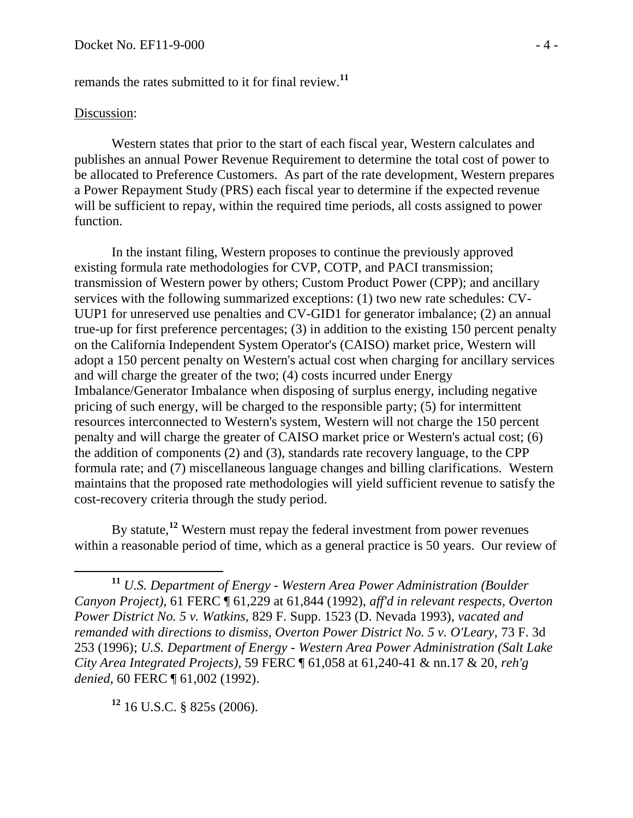remands the rates submitted to it for final review.**<sup>11</sup>**

## Discussion:

 $\overline{a}$ 

Western states that prior to the start of each fiscal year, Western calculates and publishes an annual Power Revenue Requirement to determine the total cost of power to be allocated to Preference Customers. As part of the rate development, Western prepares a Power Repayment Study (PRS) each fiscal year to determine if the expected revenue will be sufficient to repay, within the required time periods, all costs assigned to power function.

In the instant filing, Western proposes to continue the previously approved existing formula rate methodologies for CVP, COTP, and PACI transmission; transmission of Western power by others; Custom Product Power (CPP); and ancillary services with the following summarized exceptions: (1) two new rate schedules: CV-UUP1 for unreserved use penalties and CV-GID1 for generator imbalance; (2) an annual true-up for first preference percentages; (3) in addition to the existing 150 percent penalty on the California Independent System Operator's (CAISO) market price, Western will adopt a 150 percent penalty on Western's actual cost when charging for ancillary services and will charge the greater of the two; (4) costs incurred under Energy Imbalance/Generator Imbalance when disposing of surplus energy, including negative pricing of such energy, will be charged to the responsible party; (5) for intermittent resources interconnected to Western's system, Western will not charge the 150 percent penalty and will charge the greater of CAISO market price or Western's actual cost; (6) the addition of components (2) and (3), standards rate recovery language, to the CPP formula rate; and (7) miscellaneous language changes and billing clarifications. Western maintains that the proposed rate methodologies will yield sufficient revenue to satisfy the cost-recovery criteria through the study period.

By statute, **<sup>12</sup>** Western must repay the federal investment from power revenues within a reasonable period of time, which as a general practice is 50 years. Our review of

**<sup>12</sup>** 16 U.S.C. § 825s (2006).

**<sup>11</sup>** *U.S. Department of Energy - Western Area Power Administration (Boulder Canyon Project),* 61 FERC ¶ 61,229 at 61,844 (1992), *aff'd in relevant respects, Overton Power District No. 5 v. Watkins,* 829 F. Supp. 1523 (D. Nevada 1993), *vacated and remanded with directions to dismiss, Overton Power District No. 5 v. O'Leary,* 73 F. 3d 253 (1996); *U.S. Department of Energy - Western Area Power Administration (Salt Lake City Area Integrated Projects),* 59 FERC ¶ 61,058 at 61,240-41 & nn.17 & 20, *reh'g denied*, 60 FERC ¶ 61,002 (1992).